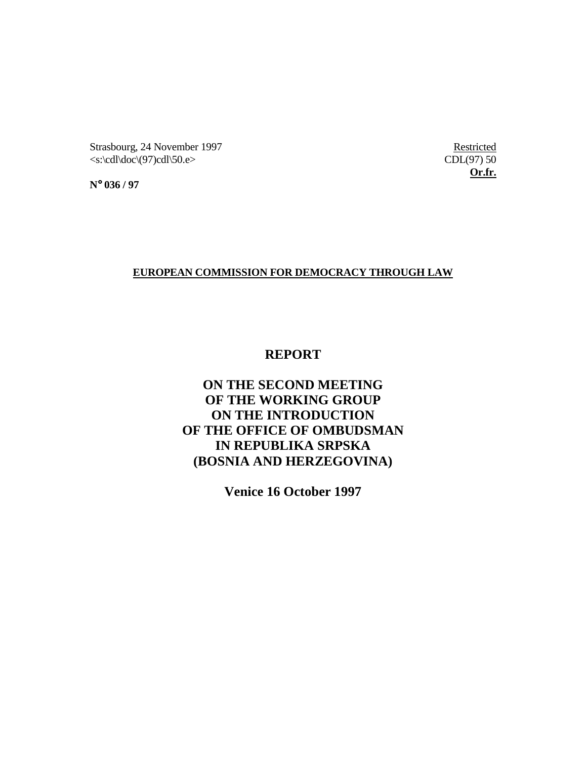Strasbourg, 24 November 1997 Restricted  $\langle \text{c} \rangle \langle \text{cd} \rangle \langle \text{d} \sigma \rangle$  (97)cdl\50.e> CDL(97) 50

**Or.fr.**

**N**° **036 / 97**

### **EUROPEAN COMMISSION FOR DEMOCRACY THROUGH LAW**

## **REPORT**

# **ON THE SECOND MEETING OF THE WORKING GROUP ON THE INTRODUCTION OF THE OFFICE OF OMBUDSMAN IN REPUBLIKA SRPSKA (BOSNIA AND HERZEGOVINA)**

**Venice 16 October 1997**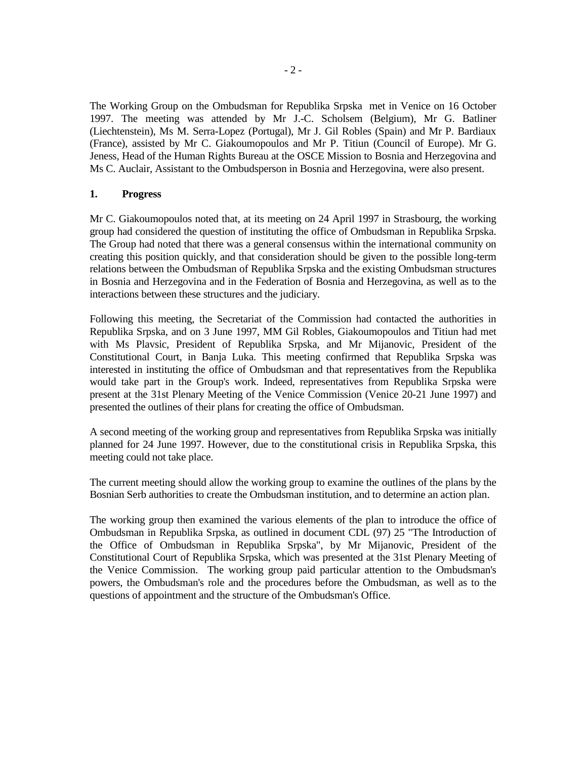The Working Group on the Ombudsman for Republika Srpska met in Venice on 16 October 1997. The meeting was attended by Mr J.-C. Scholsem (Belgium), Mr G. Batliner (Liechtenstein), Ms M. Serra-Lopez (Portugal), Mr J. Gil Robles (Spain) and Mr P. Bardiaux (France), assisted by Mr C. Giakoumopoulos and Mr P. Titiun (Council of Europe). Mr G. Jeness, Head of the Human Rights Bureau at the OSCE Mission to Bosnia and Herzegovina and Ms C. Auclair, Assistant to the Ombudsperson in Bosnia and Herzegovina, were also present.

#### **1. Progress**

Mr C. Giakoumopoulos noted that, at its meeting on 24 April 1997 in Strasbourg, the working group had considered the question of instituting the office of Ombudsman in Republika Srpska. The Group had noted that there was a general consensus within the international community on creating this position quickly, and that consideration should be given to the possible long-term relations between the Ombudsman of Republika Srpska and the existing Ombudsman structures in Bosnia and Herzegovina and in the Federation of Bosnia and Herzegovina, as well as to the interactions between these structures and the judiciary.

Following this meeting, the Secretariat of the Commission had contacted the authorities in Republika Srpska, and on 3 June 1997, MM Gil Robles, Giakoumopoulos and Titiun had met with Ms Plavsic, President of Republika Srpska, and Mr Mijanovic, President of the Constitutional Court, in Banja Luka. This meeting confirmed that Republika Srpska was interested in instituting the office of Ombudsman and that representatives from the Republika would take part in the Group's work. Indeed, representatives from Republika Srpska were present at the 31st Plenary Meeting of the Venice Commission (Venice 20-21 June 1997) and presented the outlines of their plans for creating the office of Ombudsman.

A second meeting of the working group and representatives from Republika Srpska was initially planned for 24 June 1997. However, due to the constitutional crisis in Republika Srpska, this meeting could not take place.

The current meeting should allow the working group to examine the outlines of the plans by the Bosnian Serb authorities to create the Ombudsman institution, and to determine an action plan.

The working group then examined the various elements of the plan to introduce the office of Ombudsman in Republika Srpska, as outlined in document CDL (97) 25 "The Introduction of the Office of Ombudsman in Republika Srpska", by Mr Mijanovic, President of the Constitutional Court of Republika Srpska, which was presented at the 31st Plenary Meeting of the Venice Commission. The working group paid particular attention to the Ombudsman's powers, the Ombudsman's role and the procedures before the Ombudsman, as well as to the questions of appointment and the structure of the Ombudsman's Office.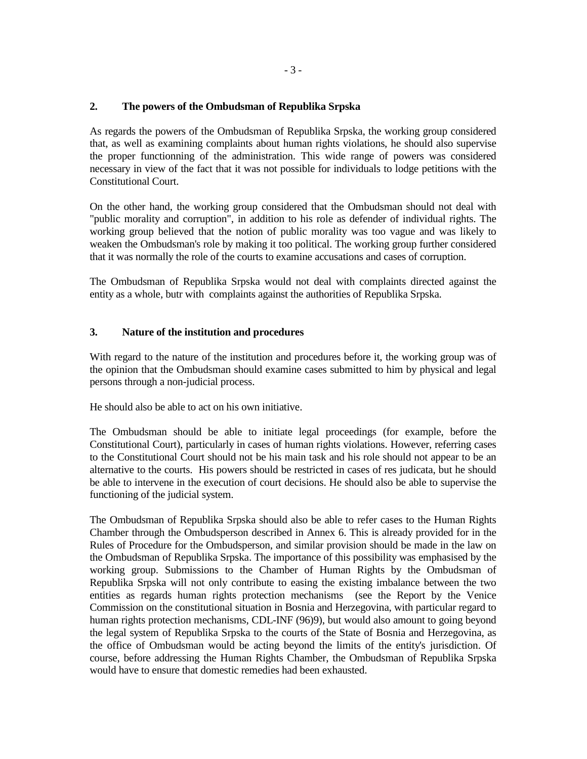#### **2. The powers of the Ombudsman of Republika Srpska**

As regards the powers of the Ombudsman of Republika Srpska, the working group considered that, as well as examining complaints about human rights violations, he should also supervise the proper functionning of the administration. This wide range of powers was considered necessary in view of the fact that it was not possible for individuals to lodge petitions with the Constitutional Court.

On the other hand, the working group considered that the Ombudsman should not deal with "public morality and corruption", in addition to his role as defender of individual rights. The working group believed that the notion of public morality was too vague and was likely to weaken the Ombudsman's role by making it too political. The working group further considered that it was normally the role of the courts to examine accusations and cases of corruption.

The Ombudsman of Republika Srpska would not deal with complaints directed against the entity as a whole, butr with complaints against the authorities of Republika Srpska.

#### **3. Nature of the institution and procedures**

With regard to the nature of the institution and procedures before it, the working group was of the opinion that the Ombudsman should examine cases submitted to him by physical and legal persons through a non-judicial process.

He should also be able to act on his own initiative.

The Ombudsman should be able to initiate legal proceedings (for example, before the Constitutional Court), particularly in cases of human rights violations. However, referring cases to the Constitutional Court should not be his main task and his role should not appear to be an alternative to the courts. His powers should be restricted in cases of res judicata, but he should be able to intervene in the execution of court decisions. He should also be able to supervise the functioning of the judicial system.

The Ombudsman of Republika Srpska should also be able to refer cases to the Human Rights Chamber through the Ombudsperson described in Annex 6. This is already provided for in the Rules of Procedure for the Ombudsperson, and similar provision should be made in the law on the Ombudsman of Republika Srpska. The importance of this possibility was emphasised by the working group. Submissions to the Chamber of Human Rights by the Ombudsman of Republika Srpska will not only contribute to easing the existing imbalance between the two entities as regards human rights protection mechanisms (see the Report by the Venice Commission on the constitutional situation in Bosnia and Herzegovina, with particular regard to human rights protection mechanisms, CDL-INF (96)9), but would also amount to going beyond the legal system of Republika Srpska to the courts of the State of Bosnia and Herzegovina, as the office of Ombudsman would be acting beyond the limits of the entity's jurisdiction. Of course, before addressing the Human Rights Chamber, the Ombudsman of Republika Srpska would have to ensure that domestic remedies had been exhausted.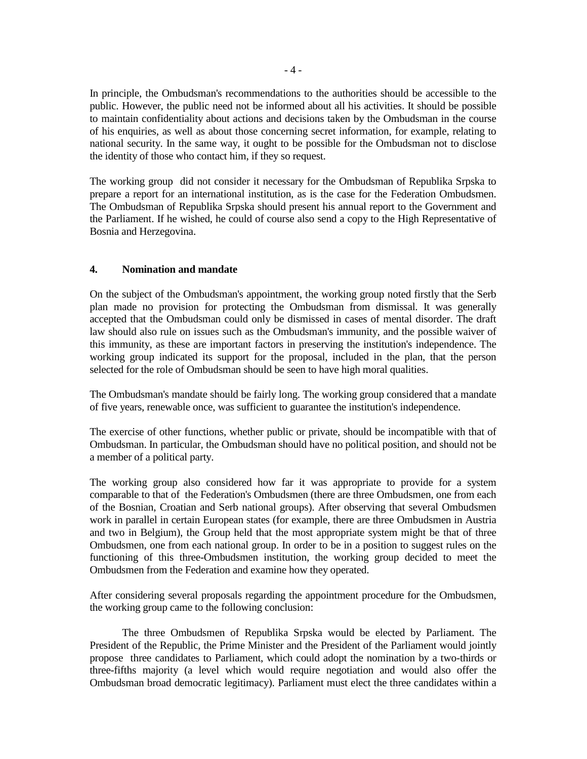In principle, the Ombudsman's recommendations to the authorities should be accessible to the public. However, the public need not be informed about all his activities. It should be possible to maintain confidentiality about actions and decisions taken by the Ombudsman in the course of his enquiries, as well as about those concerning secret information, for example, relating to national security. In the same way, it ought to be possible for the Ombudsman not to disclose the identity of those who contact him, if they so request.

The working group did not consider it necessary for the Ombudsman of Republika Srpska to prepare a report for an international institution, as is the case for the Federation Ombudsmen. The Ombudsman of Republika Srpska should present his annual report to the Government and the Parliament. If he wished, he could of course also send a copy to the High Representative of Bosnia and Herzegovina.

#### **4. Nomination and mandate**

On the subject of the Ombudsman's appointment, the working group noted firstly that the Serb plan made no provision for protecting the Ombudsman from dismissal. It was generally accepted that the Ombudsman could only be dismissed in cases of mental disorder. The draft law should also rule on issues such as the Ombudsman's immunity, and the possible waiver of this immunity, as these are important factors in preserving the institution's independence. The working group indicated its support for the proposal, included in the plan, that the person selected for the role of Ombudsman should be seen to have high moral qualities.

The Ombudsman's mandate should be fairly long. The working group considered that a mandate of five years, renewable once, was sufficient to guarantee the institution's independence.

The exercise of other functions, whether public or private, should be incompatible with that of Ombudsman. In particular, the Ombudsman should have no political position, and should not be a member of a political party.

The working group also considered how far it was appropriate to provide for a system comparable to that of the Federation's Ombudsmen (there are three Ombudsmen, one from each of the Bosnian, Croatian and Serb national groups). After observing that several Ombudsmen work in parallel in certain European states (for example, there are three Ombudsmen in Austria and two in Belgium), the Group held that the most appropriate system might be that of three Ombudsmen, one from each national group. In order to be in a position to suggest rules on the functioning of this three-Ombudsmen institution, the working group decided to meet the Ombudsmen from the Federation and examine how they operated.

After considering several proposals regarding the appointment procedure for the Ombudsmen, the working group came to the following conclusion:

 The three Ombudsmen of Republika Srpska would be elected by Parliament. The President of the Republic, the Prime Minister and the President of the Parliament would jointly propose three candidates to Parliament, which could adopt the nomination by a two-thirds or three-fifths majority (a level which would require negotiation and would also offer the Ombudsman broad democratic legitimacy). Parliament must elect the three candidates within a